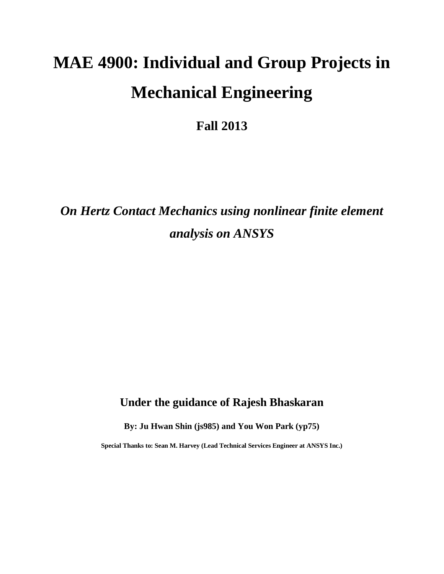# **MAE 4900: Individual and Group Projects in Mechanical Engineering**

**Fall 2013**

*On Hertz Contact Mechanics using nonlinear finite element analysis on ANSYS*

# **Under the guidance of Rajesh Bhaskaran**

**By: Ju Hwan Shin (js985) and You Won Park (yp75)**

**Special Thanks to: Sean M. Harvey (Lead Technical Services Engineer at ANSYS Inc.)**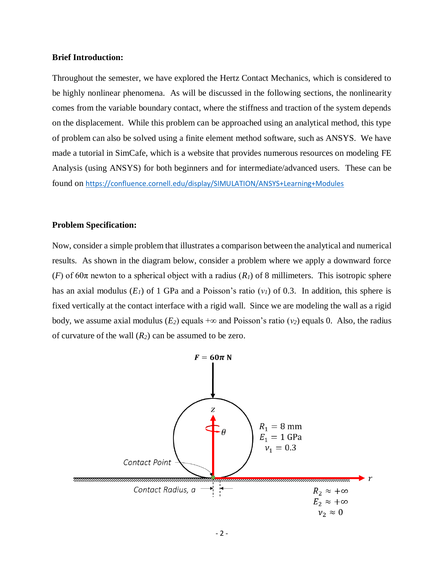#### **Brief Introduction:**

Throughout the semester, we have explored the Hertz Contact Mechanics, which is considered to be highly nonlinear phenomena. As will be discussed in the following sections, the nonlinearity comes from the variable boundary contact, where the stiffness and traction of the system depends on the displacement. While this problem can be approached using an analytical method, this type of problem can also be solved using a finite element method software, such as ANSYS. We have made a tutorial in SimCafe, which is a website that provides numerous resources on modeling FE Analysis (using ANSYS) for both beginners and for intermediate/advanced users. These can be found on <https://confluence.cornell.edu/display/SIMULATION/ANSYS+Learning+Modules>

#### **Problem Specification:**

Now, consider a simple problem that illustrates a comparison between the analytical and numerical results. As shown in the diagram below, consider a problem where we apply a downward force (*F*) of 60 $\pi$  newton to a spherical object with a radius (*R<sub>1</sub>*) of 8 millimeters. This isotropic sphere has an axial modulus  $(E_I)$  of 1 GPa and a Poisson's ratio  $(v_I)$  of 0.3. In addition, this sphere is fixed vertically at the contact interface with a rigid wall. Since we are modeling the wall as a rigid body, we assume axial modulus ( $E_2$ ) equals + $\infty$  and Poisson's ratio ( $v_2$ ) equals 0. Also, the radius of curvature of the wall (*R2*) can be assumed to be zero.

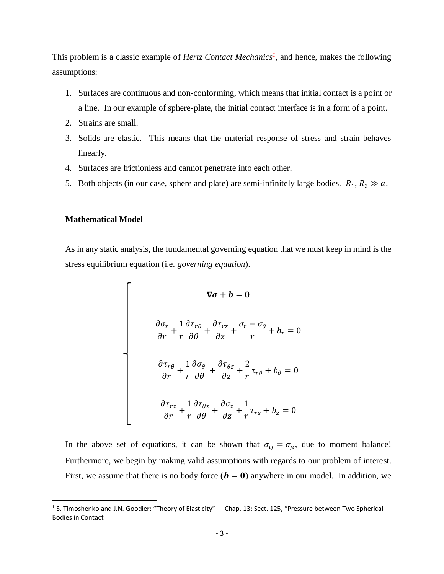This problem is a classic example of *Hertz Contact Mechanics<sup>1</sup>* , and hence, makes the following assumptions:

- 1. Surfaces are continuous and non-conforming, which means that initial contact is a point or a line. In our example of sphere-plate, the initial contact interface is in a form of a point.
- 2. Strains are small.
- 3. Solids are elastic. This means that the material response of stress and strain behaves linearly.
- 4. Surfaces are frictionless and cannot penetrate into each other.
- 5. Both objects (in our case, sphere and plate) are semi-infinitely large bodies.  $R_1, R_2 \gg a$ .

### **Mathematical Model**

 $\overline{a}$ 

As in any static analysis, the fundamental governing equation that we must keep in mind is the stress equilibrium equation (i.e. *governing equation*).

$$
\nabla \sigma + b = 0
$$

$$
\frac{\partial \sigma_r}{\partial r} + \frac{1}{r} \frac{\partial \tau_{r\theta}}{\partial \theta} + \frac{\partial \tau_{rz}}{\partial z} + \frac{\sigma_r - \sigma_\theta}{r} + b_r = 0
$$

$$
\frac{\partial \tau_{r\theta}}{\partial r} + \frac{1}{r} \frac{\partial \sigma_\theta}{\partial \theta} + \frac{\partial \tau_{\theta z}}{\partial z} + \frac{2}{r} \tau_{r\theta} + b_\theta = 0
$$

$$
\frac{\partial \tau_{rz}}{\partial r} + \frac{1}{r} \frac{\partial \tau_{\theta z}}{\partial \theta} + \frac{\partial \sigma_z}{\partial z} + \frac{1}{r} \tau_{rz} + b_z = 0
$$

In the above set of equations, it can be shown that  $\sigma_{ij} = \sigma_{ji}$ , due to moment balance! Furthermore, we begin by making valid assumptions with regards to our problem of interest. First, we assume that there is no body force  $(b = 0)$  anywhere in our model. In addition, we

<sup>&</sup>lt;sup>1</sup> S. Timoshenko and J.N. Goodier: "Theory of Elasticity" -- Chap. 13: Sect. 125, "Pressure between Two Spherical Bodies in Contact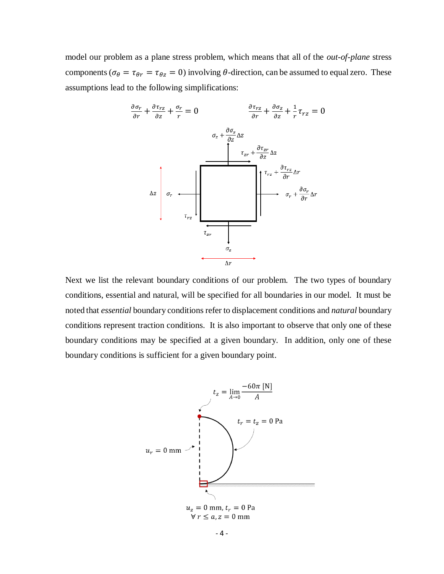model our problem as a plane stress problem, which means that all of the *out-of-plane* stress components ( $\sigma_{\theta} = \tau_{\theta r} = \tau_{\theta z} = 0$ ) involving  $\theta$ -direction, can be assumed to equal zero. These assumptions lead to the following simplifications:



Next we list the relevant boundary conditions of our problem. The two types of boundary conditions, essential and natural, will be specified for all boundaries in our model. It must be noted that *essential* boundary conditions refer to displacement conditions and *natural* boundary conditions represent traction conditions. It is also important to observe that only one of these boundary conditions may be specified at a given boundary. In addition, only one of these boundary conditions is sufficient for a given boundary point.

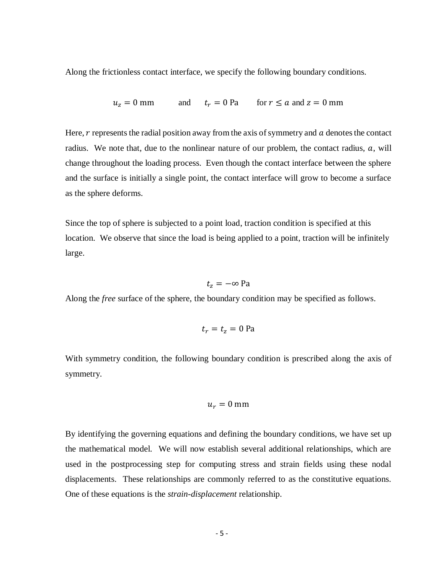Along the frictionless contact interface, we specify the following boundary conditions.

$$
u_z = 0
$$
 mm and  $t_r = 0$  Pa for  $r \le a$  and  $z = 0$  mm

Here,  *represents the radial position away from the axis of symmetry and*  $*a*$  *denotes the contact* radius. We note that, due to the nonlinear nature of our problem, the contact radius,  $a$ , will change throughout the loading process. Even though the contact interface between the sphere and the surface is initially a single point, the contact interface will grow to become a surface as the sphere deforms.

Since the top of sphere is subjected to a point load, traction condition is specified at this location. We observe that since the load is being applied to a point, traction will be infinitely large.

 $t_z = -\infty$  Pa

Along the *free* surface of the sphere, the boundary condition may be specified as follows.

$$
t_r = t_z = 0
$$
 Pa

With symmetry condition, the following boundary condition is prescribed along the axis of symmetry.

$$
u_r=0\ \mathrm{mm}
$$

By identifying the governing equations and defining the boundary conditions, we have set up the mathematical model. We will now establish several additional relationships, which are used in the postprocessing step for computing stress and strain fields using these nodal displacements. These relationships are commonly referred to as the constitutive equations. One of these equations is the *strain-displacement* relationship.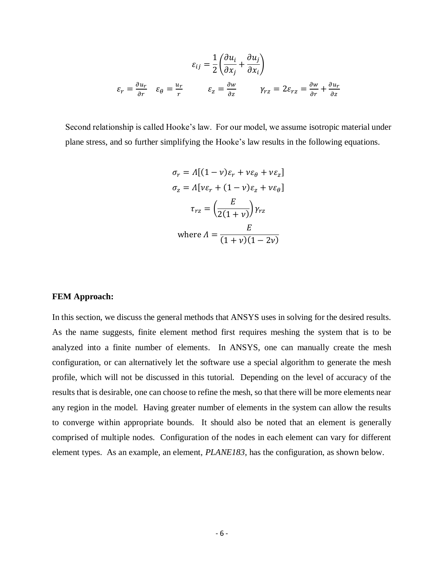$$
\varepsilon_{ij} = \frac{1}{2} \left( \frac{\partial u_i}{\partial x_j} + \frac{\partial u_j}{\partial x_i} \right)
$$

$$
\varepsilon_r = \frac{\partial u_r}{\partial r} \qquad \varepsilon_{\theta} = \frac{u_r}{r} \qquad \varepsilon_z = \frac{\partial w}{\partial z} \qquad \gamma_{rz} = 2\varepsilon_{rz} = \frac{\partial w}{\partial r} + \frac{\partial u_r}{\partial z}
$$

Second relationship is called Hooke's law. For our model, we assume isotropic material under plane stress, and so further simplifying the Hooke's law results in the following equations.

$$
\sigma_r = \Lambda[(1 - v)\varepsilon_r + v\varepsilon_\theta + v\varepsilon_z]
$$

$$
\sigma_z = \Lambda[v\varepsilon_r + (1 - v)\varepsilon_z + v\varepsilon_\theta]
$$

$$
\tau_{rz} = \left(\frac{E}{2(1 + v)}\right)\gamma_{rz}
$$

$$
\text{where } \Lambda = \frac{E}{(1 + v)(1 - 2v)}
$$

#### **FEM Approach:**

In this section, we discuss the general methods that ANSYS uses in solving for the desired results. As the name suggests, finite element method first requires meshing the system that is to be analyzed into a finite number of elements. In ANSYS, one can manually create the mesh configuration, or can alternatively let the software use a special algorithm to generate the mesh profile, which will not be discussed in this tutorial. Depending on the level of accuracy of the results that is desirable, one can choose to refine the mesh, so that there will be more elements near any region in the model. Having greater number of elements in the system can allow the results to converge within appropriate bounds. It should also be noted that an element is generally comprised of multiple nodes. Configuration of the nodes in each element can vary for different element types. As an example, an element, *PLANE183*, has the configuration, as shown below.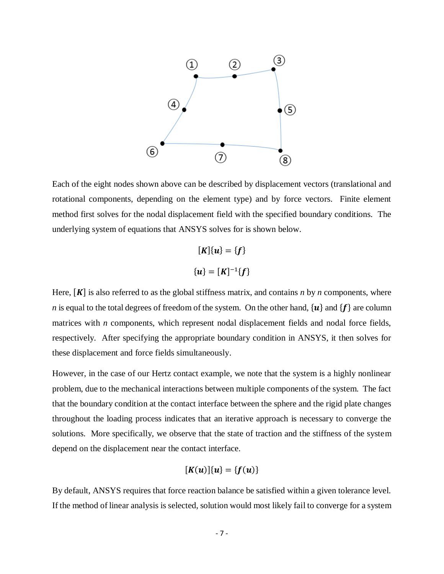

Each of the eight nodes shown above can be described by displacement vectors (translational and rotational components, depending on the element type) and by force vectors. Finite element method first solves for the nodal displacement field with the specified boundary conditions. The underlying system of equations that ANSYS solves for is shown below.

$$
[K]{u} = {f}
$$

$$
{u} = [K]^{-1}{f}
$$

Here,  $[K]$  is also referred to as the global stiffness matrix, and contains *n* by *n* components, where *n* is equal to the total degrees of freedom of the system. On the other hand,  $\{u\}$  and  $\{f\}$  are column matrices with *n* components, which represent nodal displacement fields and nodal force fields, respectively. After specifying the appropriate boundary condition in ANSYS, it then solves for these displacement and force fields simultaneously.

However, in the case of our Hertz contact example, we note that the system is a highly nonlinear problem, due to the mechanical interactions between multiple components of the system. The fact that the boundary condition at the contact interface between the sphere and the rigid plate changes throughout the loading process indicates that an iterative approach is necessary to converge the solutions. More specifically, we observe that the state of traction and the stiffness of the system depend on the displacement near the contact interface.

$$
[K(u)]\{u\}=\{f(u)\}
$$

By default, ANSYS requires that force reaction balance be satisfied within a given tolerance level. If the method of linear analysis is selected, solution would most likely fail to converge for a system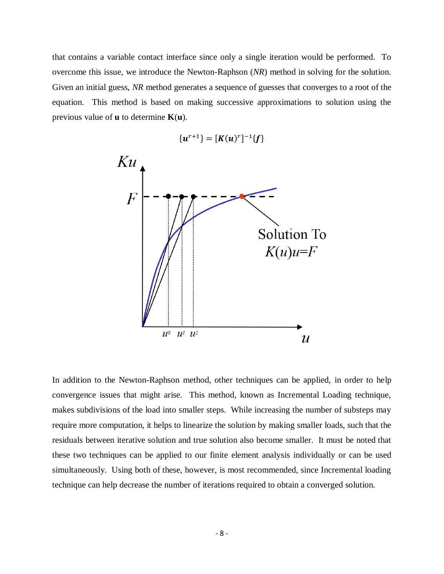that contains a variable contact interface since only a single iteration would be performed. To overcome this issue, we introduce the Newton-Raphson (*NR*) method in solving for the solution. Given an initial guess, *NR* method generates a sequence of guesses that converges to a root of the equation. This method is based on making successive approximations to solution using the previous value of **u** to determine **K**(**u**).



In addition to the Newton-Raphson method, other techniques can be applied, in order to help convergence issues that might arise. This method, known as Incremental Loading technique, makes subdivisions of the load into smaller steps. While increasing the number of substeps may require more computation, it helps to linearize the solution by making smaller loads, such that the residuals between iterative solution and true solution also become smaller. It must be noted that these two techniques can be applied to our finite element analysis individually or can be used simultaneously. Using both of these, however, is most recommended, since Incremental loading technique can help decrease the number of iterations required to obtain a converged solution.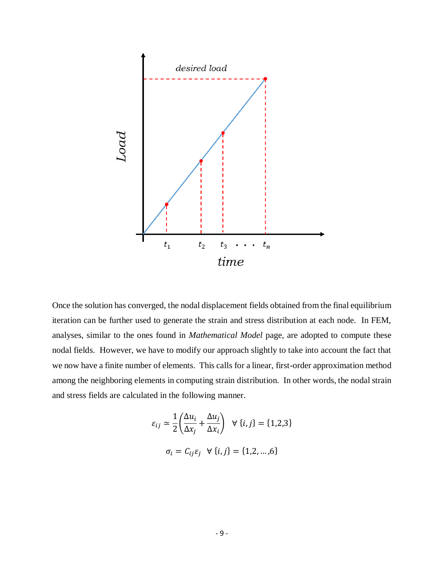

Once the solution has converged, the nodal displacement fields obtained from the final equilibrium iteration can be further used to generate the strain and stress distribution at each node. In FEM, analyses, similar to the ones found in *Mathematical Model* page, are adopted to compute these nodal fields. However, we have to modify our approach slightly to take into account the fact that we now have a finite number of elements. This calls for a linear, first-order approximation method among the neighboring elements in computing strain distribution. In other words, the nodal strain and stress fields are calculated in the following manner.

$$
\varepsilon_{ij} \simeq \frac{1}{2} \left( \frac{\Delta u_i}{\Delta x_j} + \frac{\Delta u_j}{\Delta x_i} \right) \quad \forall \ \{i, j\} = \{1, 2, 3\}
$$
\n
$$
\sigma_i = C_{ij} \varepsilon_j \quad \forall \ \{i, j\} = \{1, 2, ..., 6\}
$$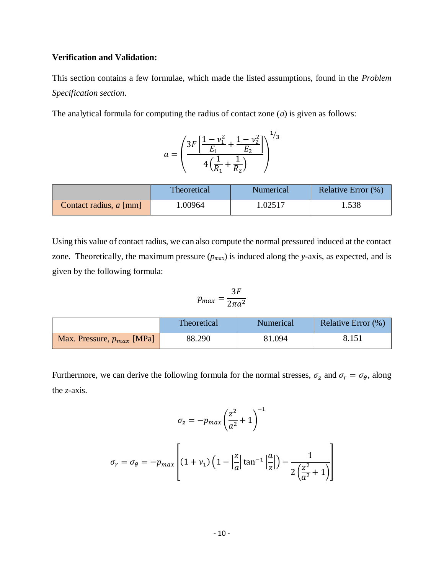# **Verification and Validation:**

This section contains a few formulae, which made the listed assumptions, found in the *Problem Specification section*.

The analytical formula for computing the radius of contact zone (*a*) is given as follows:

$$
a = \left(\frac{3F\left[\frac{1-\nu_1^2}{E_1} + \frac{1-\nu_2^2}{E_2}\right]}{4\left(\frac{1}{R_1} + \frac{1}{R_2}\right)}\right)^{1/3}
$$

|                          | Theoretical | Numerical | Relative Error (%) |
|--------------------------|-------------|-----------|--------------------|
| Contact radius, $a$ [mm] | .00964      | 1.02517   | . . 538            |

Using this value of contact radius, we can also compute the normal pressured induced at the contact zone. Theoretically, the maximum pressure  $(p_{max})$  is induced along the *y*-axis, as expected, and is given by the following formula:

$$
p_{max} = \frac{3F}{2\pi a^2}
$$

|                                | Theoretical | Numerical | Relative Error (%) |
|--------------------------------|-------------|-----------|--------------------|
| Max. Pressure, $p_{max}$ [MPa] | 88.290      | 81.094    | 8.151              |

Furthermore, we can derive the following formula for the normal stresses,  $\sigma_z$  and  $\sigma_r = \sigma_\theta$ , along the *z*-axis.

$$
\sigma_z = -p_{max}\left(\frac{z^2}{a^2} + 1\right)^{-1}
$$

$$
\sigma_r = \sigma_\theta = -p_{max} \left[ (1 + v_1) \left( 1 - \left| \frac{z}{a} \right| \tan^{-1} \left| \frac{a}{z} \right| \right) - \frac{1}{2 \left( \frac{z^2}{a^2} + 1 \right)} \right]
$$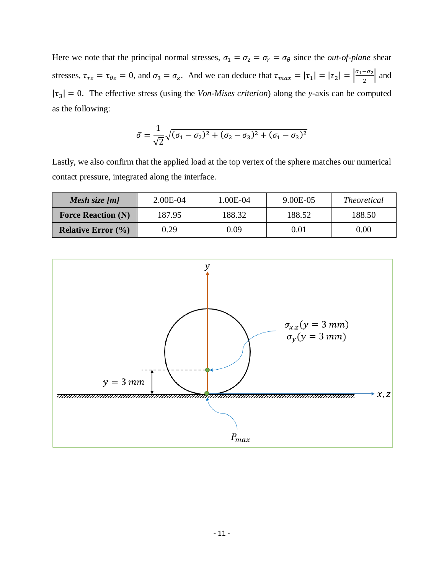Here we note that the principal normal stresses,  $\sigma_1 = \sigma_2 = \sigma_r = \sigma_\theta$  since the *out-of-plane* shear stresses,  $\tau_{rz} = \tau_{\theta z} = 0$ , and  $\sigma_3 = \sigma_z$ . And we can deduce that  $\tau_{max} = |\tau_1| = |\tau_2| = \left|\frac{\sigma_1 - \sigma_2}{2}\right|$  $\frac{-\omega_2}{2}$  and  $|\tau_3| = 0$ . The effective stress (using the *Von-Mises criterion*) along the *y*-axis can be computed as the following:

$$
\bar{\sigma} = \frac{1}{\sqrt{2}}\sqrt{(\sigma_1 - \sigma_2)^2 + (\sigma_2 - \sigma_3)^2 + (\sigma_1 - \sigma_3)^2}
$$

Lastly, we also confirm that the applied load at the top vertex of the sphere matches our numerical contact pressure, integrated along the interface.

| Mesh size $[m]$               | 2.00E-04 | 1.00E-04 | 9.00E-05 | <i>Theoretical</i> |
|-------------------------------|----------|----------|----------|--------------------|
| <b>Force Reaction (N)</b>     | 187.95   | 188.32   | 188.52   | 188.50             |
| <b>Relative Error</b> $(\% )$ | 0.29     | 0.09     | 0.01     | 0.00               |

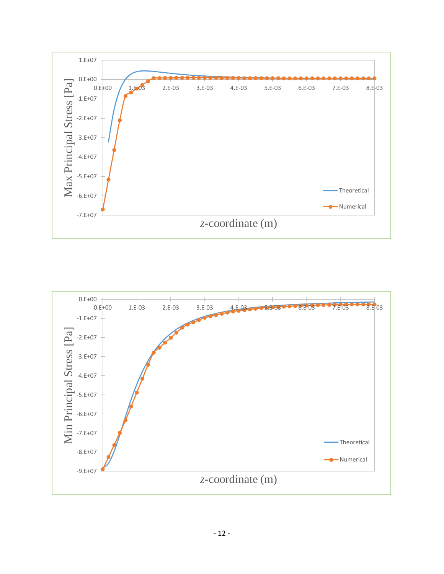